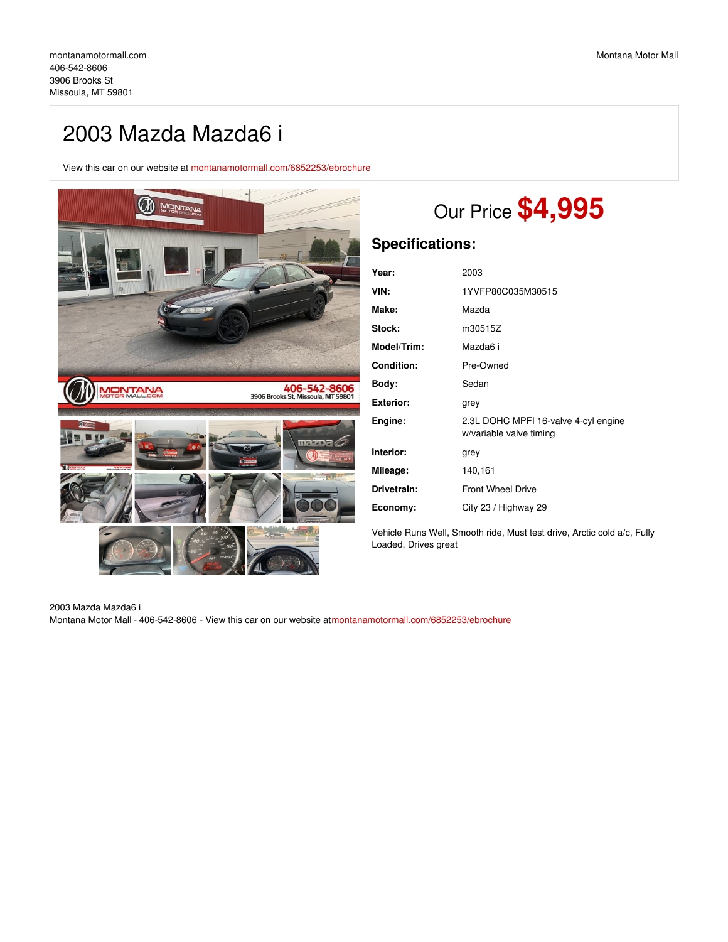## 2003 Mazda Mazda6 i

View this car on our website at [montanamotormall.com/6852253/ebrochure](https://montanamotormall.com/vehicle/6852253/2003-mazda-mazda6-i-missoula-mt-59801/6852253/ebrochure)



# Our Price **\$4,995**

### **Specifications:**

| Year:             | 2003                                                            |
|-------------------|-----------------------------------------------------------------|
| VIN:              | 1YVFP80C035M30515                                               |
| Make:             | Mazda                                                           |
| Stock:            | m30515Z                                                         |
| Model/Trim:       | Mazda6 i                                                        |
| <b>Condition:</b> | Pre-Owned                                                       |
| Body:             | Sedan                                                           |
| <b>Exterior:</b>  | grey                                                            |
| Engine:           | 2.3L DOHC MPFI 16-valve 4-cyl engine<br>w/variable valve timing |
| Interior:         | grey                                                            |
| Mileage:          | 140,161                                                         |
| Drivetrain:       | <b>Front Wheel Drive</b>                                        |
| Economy:          | City 23 / Highway 29                                            |

Vehicle Runs Well, Smooth ride, Must test drive, Arctic cold a/c, Fully Loaded, Drives great

#### 2003 Mazda Mazda6 i

Montana Motor Mall - 406-542-8606 - View this car on our website a[tmontanamotormall.com/6852253/ebrochure](https://montanamotormall.com/vehicle/6852253/2003-mazda-mazda6-i-missoula-mt-59801/6852253/ebrochure)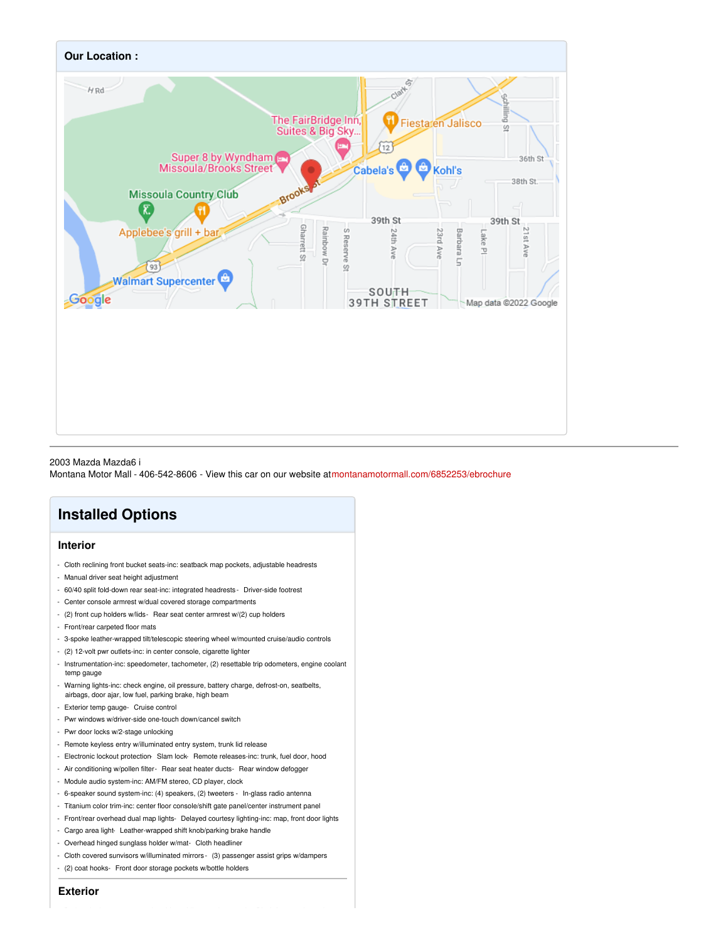

#### 2003 Mazda Mazda6 i

Montana Motor Mall - 406-542-8606 - View this car on our website a[tmontanamotormall.com/6852253/ebrochure](https://montanamotormall.com/vehicle/6852253/2003-mazda-mazda6-i-missoula-mt-59801/6852253/ebrochure)

## **Installed Options**

#### **Interior**

- Cloth reclining front bucket seats-inc: seatback map pockets, adjustable headrests
- Manual driver seat height adjustment
- 60/40 split fold-down rear seat-inc: integrated headrests Driver-side footrest
- Center console armrest w/dual covered storage compartments
- (2) front cup holders w/lids- Rear seat center armrest w/(2) cup holders
- Front/rear carpeted floor mats
- 3-spoke leather-wrapped tilt/telescopic steering wheel w/mounted cruise/audio controls
- (2) 12-volt pwr outlets-inc: in center console, cigarette lighter
- Instrumentation-inc: speedometer, tachometer, (2) resettable trip odometers, engine coolant temp gauge
- Warning lights-inc: check engine, oil pressure, battery charge, defrost-on, seatbelts, airbags, door ajar, low fuel, parking brake, high beam
- Exterior temp gauge- Cruise control
- Pwr windows w/driver-side one-touch down/cancel switch
- Pwr door locks w/2-stage unlocking
- Remote keyless entry w/illuminated entry system, trunk lid release
- Electronic lockout protection- Slam lock- Remote releases-inc: trunk, fuel door, hood
- Air conditioning w/pollen filter- Rear seat heater ducts- Rear window defogger
- Module audio system-inc: AM/FM stereo, CD player, clock
- 6-speaker sound system-inc: (4) speakers, (2) tweeters In-glass radio antenna
- Titanium color trim-inc: center floor console/shift gate panel/center instrument panel
- Front/rear overhead dual map lights- Delayed courtesy lighting-inc: map, front door lights
- Cargo area light- Leather-wrapped shift knob/parking brake handle
- Overhead hinged sunglass holder w/mat- Cloth headliner
- Cloth covered sunvisors w/illuminated mirrors- (3) passenger assist grips w/dampers
- (2) coat hooks- Front door storage pockets w/bottle holders

**Exterior**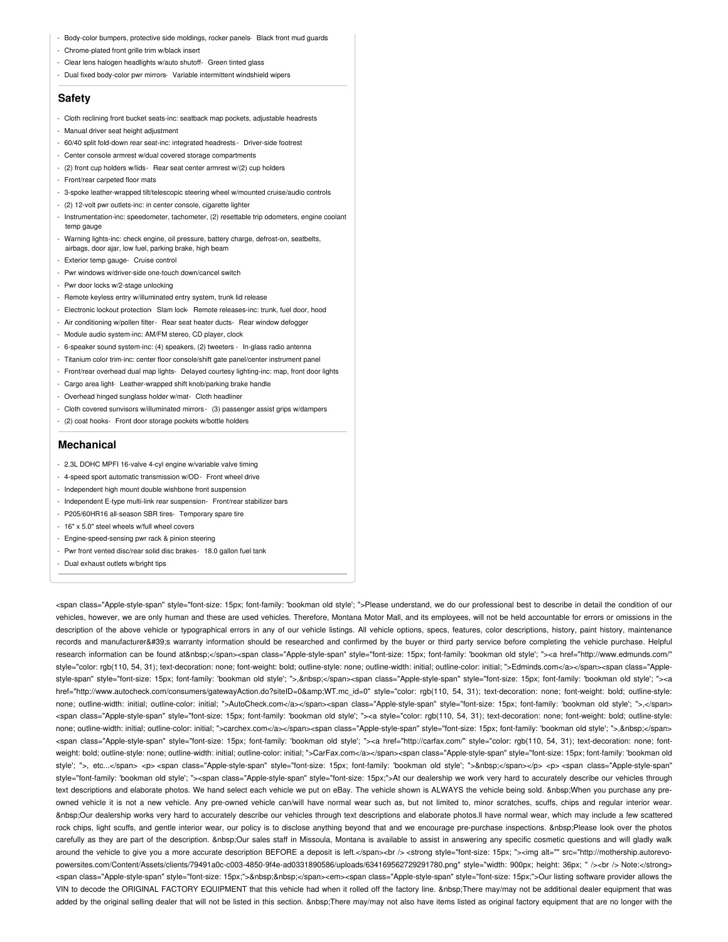- Body-color bumpers, protective side moldings, rocker panels- Black front mud guards
- Chrome-plated front grille trim w/black insert
- Clear lens halogen headlights w/auto shutoff- Green tinted glass
- Dual fixed body-color pwr mirrors- Variable intermittent windshield wipers

#### **Safety**

- Cloth reclining front bucket seats-inc: seatback map pockets, adjustable headrests
- Manual driver seat height adjustment
- 60/40 split fold-down rear seat-inc: integrated headrests Driver-side footrest
- Center console armrest w/dual covered storage compartments
- (2) front cup holders w/lids- Rear seat center armrest w/(2) cup holders
- Front/rear carpeted floor mats
- 3-spoke leather-wrapped tilt/telescopic steering wheel w/mounted cruise/audio controls
- (2) 12-volt pwr outlets-inc: in center console, cigarette lighter
- Instrumentation-inc: speedometer, tachometer, (2) resettable trip odometers, engine coolant temp gauge
- Warning lights-inc: check engine, oil pressure, battery charge, defrost-on, seatbelts, airbags, door ajar, low fuel, parking brake, high beam
- Exterior temp gauge- Cruise control
- Pwr windows w/driver-side one-touch down/cancel switch
- Pwr door locks w/2-stage unlocking
- Remote keyless entry w/illuminated entry system, trunk lid release
- Electronic lockout protection- Slam lock- Remote releases-inc: trunk, fuel door, hood
- Air conditioning w/pollen filter- Rear seat heater ducts- Rear window defogger
- Module audio system-inc: AM/FM stereo, CD player, clock
- 6-speaker sound system-inc: (4) speakers, (2) tweeters In-glass radio antenna
- Titanium color trim-inc: center floor console/shift gate panel/center instrument panel
- Front/rear overhead dual map lights- Delayed courtesy lighting-inc: map, front door lights
- Cargo area light- Leather-wrapped shift knob/parking brake handle
- Overhead hinged sunglass holder w/mat- Cloth headliner
- Cloth covered sunvisors w/illuminated mirrors- (3) passenger assist grips w/dampers
- (2) coat hooks- Front door storage pockets w/bottle holders

#### **Mechanical**

- 2.3L DOHC MPFI 16-valve 4-cyl engine w/variable valve timing
- 4-speed sport automatic transmission w/OD- Front wheel drive
- Independent high mount double wishbone front suspension
- Independent E-type multi-link rear suspension- Front/rear stabilizer bars
- P205/60HR16 all-season SBR tires- Temporary spare tire
- 16" x 5.0" steel wheels w/full wheel covers
- Engine-speed-sensing pwr rack & pinion steering
- Pwr front vented disc/rear solid disc brakes- 18.0 gallon fuel tank
- Dual exhaust outlets w/bright tips

<span class="Apple-style-span" style="font-size: 15px; font-family: 'bookman old style'; ">Please understand, we do our professional best to describe in detail the condition of our vehicles, however, we are only human and these are used vehicles. Therefore, Montana Motor Mall, and its employees, will not be held accountable for errors or omissions in the description of the above vehicle or typographical errors in any of our vehicle listings. All vehicle options, specs, features, color descriptions, history, paint history, maintenance records and manufacturer's warranty information should be researched and confirmed by the buyer or third party service before completing the vehicle purchase. Helpful research information can be found at </span><span class="Apple-style-span" style="font-size: 15px; font-family: 'bookman old style'; "><a href="http://www.edmunds.com/" style="color: rgb(110, 54, 31); text-decoration: none; font-weight: bold; outline-style: none; outline-width: initial; outline-color: initial; ">Edminds.com</a></span><span class="Applestyle-span" style="font-size: 15px; font-family: 'bookman old style'; ">,&pbsp;</span><span class="Apple-style-span" style="font-size: 15px; font-family: 'bookman old style'; "><a href="http://www.autocheck.com/consumers/gatewayAction.do?siteID=0&WT.mc\_id=0" style="color: rgb(110, 54, 31); text-decoration: none; font-weight: bold; outline-style: none; outline-width: initial; outline-color: initial; ">AutoCheck.com</a></span><span class="Apple-style-span" style="font-size: 15px; font-family: 'bookman old style'; ">,</span> <span class="Apple-style-span" style="font-size: 15px; font-family: 'bookman old style'; "><a style="color: rgb(110, 54, 31); text-decoration: none; font-weight: bold; outline-style: none; outline-width: initial; outline-color: initial; ">carchex.com</a></span><span class="Apple-style-span" style="font-size: 15px; font-family: 'bookman old style'; ">,&nbsp;</span> <span class="Apple-style-span" style="font-size: 15px; font-family: 'bookman old style'; "><a href="http://carfax.com/" style="color: rgb(110, 54, 31); text-decoration: none; fontweight: bold; outline-style: none; outline-width: initial; outline-color: initial; ">CarFax.com</a></span><span class="Apple-style-span" style="font-size: 15px; font-family: 'bookman old style'; ">, etc...</span> <p> <span class="Apple-style-span" style="font-size: 15px; font-family: 'bookman old style'; ">&nbsp;</span></p> <p> <span class="Apple-style-span" style="font-family: 'bookman old style'; "><span class="Apple-style-span" style="font-size: 15px;">At our dealership we work very hard to accurately describe our vehicles through text descriptions and elaborate photos. We hand select each vehicle we put on eBay. The vehicle shown is ALWAYS the vehicle being sold. When you purchase any preowned vehicle it is not a new vehicle. Any pre-owned vehicle can/will have normal wear such as, but not limited to, minor scratches, scuffs, chips and regular interior wear. Our dealership works very hard to accurately describe our vehicles through text descriptions and elaborate photos.ll have normal wear, which may include a few scattered rock chips, light scuffs, and gentle interior wear, our policy is to disclose anything beyond that and we encourage pre-purchase inspections. Please look over the photos carefully as they are part of the description. &nbsp:Our sales staff in Missoula, Montana is available to assist in answering any specific cosmetic questions and will gladly walk around the vehicle to give you a more accurate description BEFORE a deposit is left.</span><br /><br /><br <>>
strong style="font-size: 15px; "><img alt="" src="http://mothership.autorevopowersites.com/Content/Assets/clients/79491a0c-c003-4850-9f4e-ad0331890586/uploads/634169562729291780.png" style="width: 900px; height: 36px; " /><br /> Note:</strong> <span class="Apple-style-span" style="font-size: 15px;">&nbsp;&nbsp;</span><em><span class="Apple-style-span" style="font-size: 15px;">Our listing software provider allows the VIN to decode the ORIGINAL FACTORY EQUIPMENT that this vehicle had when it rolled off the factory line. There may/may not be additional dealer equipment that was added by the original selling dealer that will not be listed in this section. There may/may not also have items listed as original factory equipment that are no longer with the